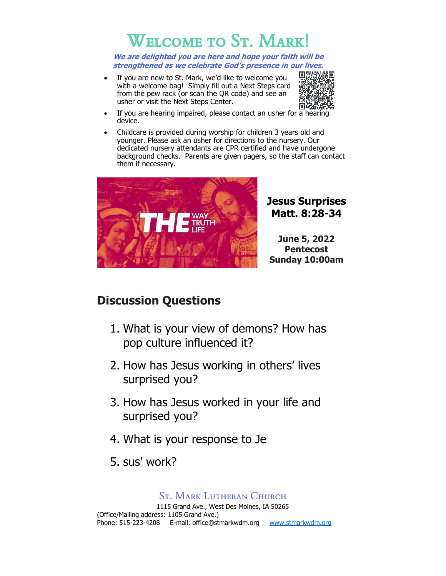# Welcome to St. Mark!

**We are delighted you are here and hope your faith will be strengthened as we celebrate God's presence in our lives.**

If you are new to St. Mark, we'd like to welcome you with a welcome bag! Simply fill out a Next Steps card from the pew rack (or scan the QR code) and see an usher or visit the Next Steps Center.



- If you are hearing impaired, please contact an usher for a hearing device.
- Childcare is provided during worship for children 3 years old and younger. Please ask an usher for directions to the nursery. Our dedicated nursery attendants are CPR certified and have undergone background checks. Parents are given pagers, so the staff can contact them if necessary.



# **Jesus Surprises Matt. 8:28-34**

**June 5, 2022 Pentecost Sunday 10:00am**

# **Discussion Questions**

- 1. What is your view of demons? How has pop culture influenced it?
- 2. How has Jesus working in others' lives surprised you?
- 3. How has Jesus worked in your life and surprised you?
- 4. What is your response to Je
- 5. sus' work?